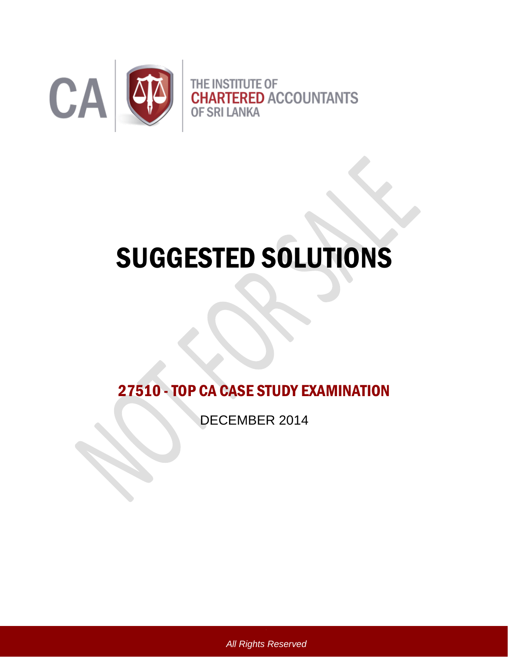

# SUGGESTED SOLUTIONS

27510 -TOP CA CASE STUDY EXAMINATION

DECEMBER 2014

*All Rights Reserved*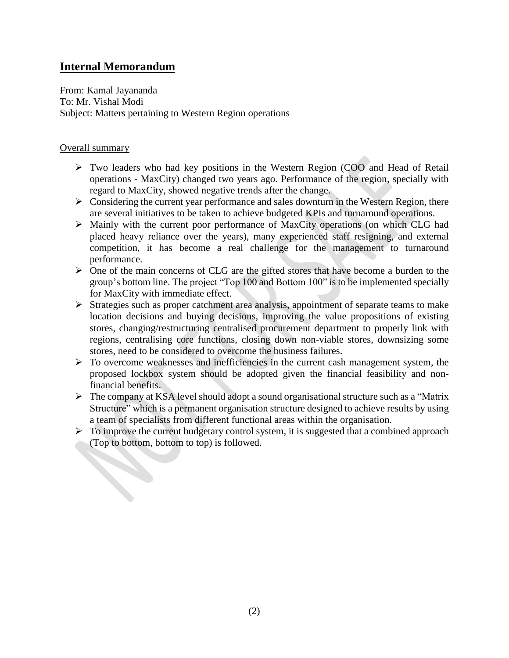## **Internal Memorandum**

From: Kamal Jayananda To: Mr. Vishal Modi Subject: Matters pertaining to Western Region operations

#### Overall summary

- Two leaders who had key positions in the Western Region (COO and Head of Retail operations - MaxCity) changed two years ago. Performance of the region, specially with regard to MaxCity, showed negative trends after the change.
- $\triangleright$  Considering the current year performance and sales downturn in the Western Region, there are several initiatives to be taken to achieve budgeted KPIs and turnaround operations.
- Mainly with the current poor performance of MaxCity operations (on which CLG had placed heavy reliance over the years), many experienced staff resigning, and external competition, it has become a real challenge for the management to turnaround performance.
- $\triangleright$  One of the main concerns of CLG are the gifted stores that have become a burden to the group's bottom line. The project "Top 100 and Bottom 100" is to be implemented specially for MaxCity with immediate effect.
- $\triangleright$  Strategies such as proper catchment area analysis, appointment of separate teams to make location decisions and buying decisions, improving the value propositions of existing stores, changing/restructuring centralised procurement department to properly link with regions, centralising core functions, closing down non-viable stores, downsizing some stores, need to be considered to overcome the business failures.
- $\triangleright$  To overcome weaknesses and inefficiencies in the current cash management system, the proposed lockbox system should be adopted given the financial feasibility and nonfinancial benefits.
- $\triangleright$  The company at KSA level should adopt a sound organisational structure such as a "Matrix" Structure" which is a permanent organisation structure designed to achieve results by using a team of specialists from different functional areas within the organisation.
- $\triangleright$  To improve the current budgetary control system, it is suggested that a combined approach (Top to bottom, bottom to top) is followed.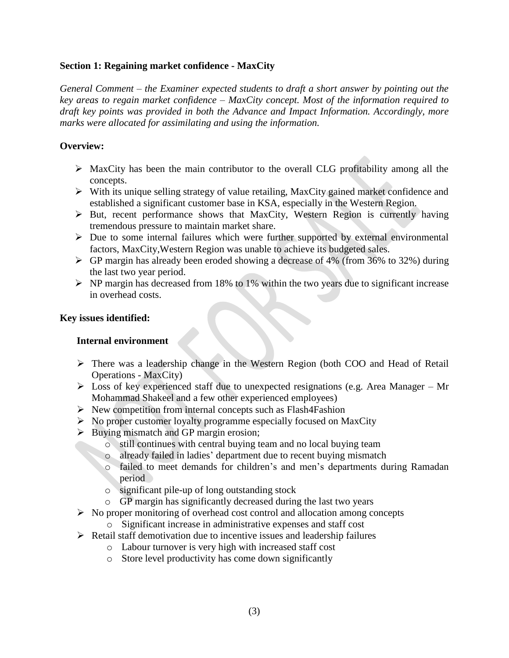#### **Section 1: Regaining market confidence - MaxCity**

*General Comment – the Examiner expected students to draft a short answer by pointing out the key areas to regain market confidence – MaxCity concept. Most of the information required to draft key points was provided in both the Advance and Impact Information. Accordingly, more marks were allocated for assimilating and using the information.*

#### **Overview:**

- $\triangleright$  MaxCity has been the main contributor to the overall CLG profitability among all the concepts.
- $\triangleright$  With its unique selling strategy of value retailing, MaxCity gained market confidence and established a significant customer base in KSA, especially in the Western Region.
- $\triangleright$  But, recent performance shows that MaxCity, Western Region is currently having tremendous pressure to maintain market share.
- $\triangleright$  Due to some internal failures which were further supported by external environmental factors, MaxCity,Western Region was unable to achieve its budgeted sales.
- $\triangleright$  GP margin has already been eroded showing a decrease of 4% (from 36% to 32%) during the last two year period.
- $\triangleright$  NP margin has decreased from 18% to 1% within the two years due to significant increase in overhead costs.

#### **Key issues identified:**

#### **Internal environment**

- There was a leadership change in the Western Region (both COO and Head of Retail Operations - MaxCity)
- $\triangleright$  Loss of key experienced staff due to unexpected resignations (e.g. Area Manager Mr Mohammad Shakeel and a few other experienced employees)
- $\triangleright$  New competition from internal concepts such as Flash4Fashion
- $\triangleright$  No proper customer loyalty programme especially focused on MaxCity
- $\triangleright$  Buying mismatch and GP margin erosion;
	- o still continues with central buying team and no local buying team
	- o already failed in ladies' department due to recent buying mismatch
	- o failed to meet demands for children's and men's departments during Ramadan period
	- o significant pile-up of long outstanding stock
	- o GP margin has significantly decreased during the last two years
- $\triangleright$  No proper monitoring of overhead cost control and allocation among concepts
	- o Significant increase in administrative expenses and staff cost
- $\triangleright$  Retail staff demotivation due to incentive issues and leadership failures
	- o Labour turnover is very high with increased staff cost
	- o Store level productivity has come down significantly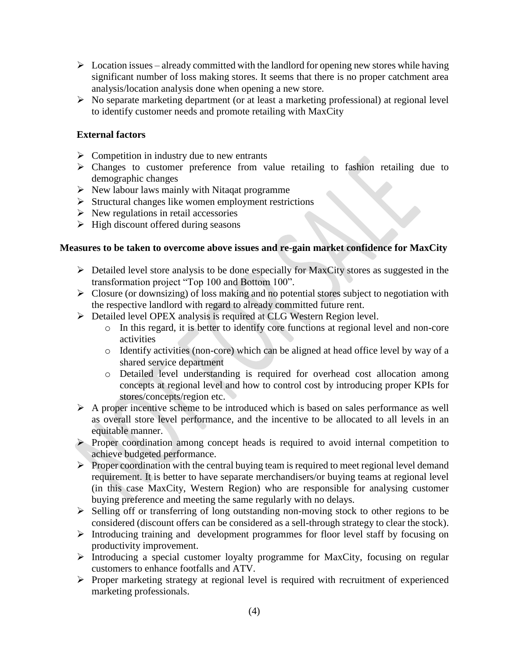- $\triangleright$  Location issues already committed with the landlord for opening new stores while having significant number of loss making stores. It seems that there is no proper catchment area analysis/location analysis done when opening a new store.
- $\triangleright$  No separate marketing department (or at least a marketing professional) at regional level to identify customer needs and promote retailing with MaxCity

### **External factors**

- $\triangleright$  Competition in industry due to new entrants
- Changes to customer preference from value retailing to fashion retailing due to demographic changes
- $\triangleright$  New labour laws mainly with Nitaqat programme
- $\triangleright$  Structural changes like women employment restrictions
- $\triangleright$  New regulations in retail accessories
- $\triangleright$  High discount offered during seasons

## **Measures to be taken to overcome above issues and re-gain market confidence for MaxCity**

- $\triangleright$  Detailed level store analysis to be done especially for MaxCity stores as suggested in the transformation project "Top 100 and Bottom 100".
- $\triangleright$  Closure (or downsizing) of loss making and no potential stores subject to negotiation with the respective landlord with regard to already committed future rent.
- $\triangleright$  Detailed level OPEX analysis is required at CLG Western Region level.
	- o In this regard, it is better to identify core functions at regional level and non-core activities
	- o Identify activities (non-core) which can be aligned at head office level by way of a shared service department
	- o Detailed level understanding is required for overhead cost allocation among concepts at regional level and how to control cost by introducing proper KPIs for stores/concepts/region etc.
- $\triangleright$  A proper incentive scheme to be introduced which is based on sales performance as well as overall store level performance, and the incentive to be allocated to all levels in an equitable manner.
- $\triangleright$  Proper coordination among concept heads is required to avoid internal competition to achieve budgeted performance.
- $\triangleright$  Proper coordination with the central buying team is required to meet regional level demand requirement. It is better to have separate merchandisers/or buying teams at regional level (in this case MaxCity, Western Region) who are responsible for analysing customer buying preference and meeting the same regularly with no delays.
- $\triangleright$  Selling off or transferring of long outstanding non-moving stock to other regions to be considered (discount offers can be considered as a sell-through strategy to clear the stock).
- $\triangleright$  Introducing training and development programmes for floor level staff by focusing on productivity improvement.
- Introducing a special customer loyalty programme for MaxCity, focusing on regular customers to enhance footfalls and ATV.
- $\triangleright$  Proper marketing strategy at regional level is required with recruitment of experienced marketing professionals.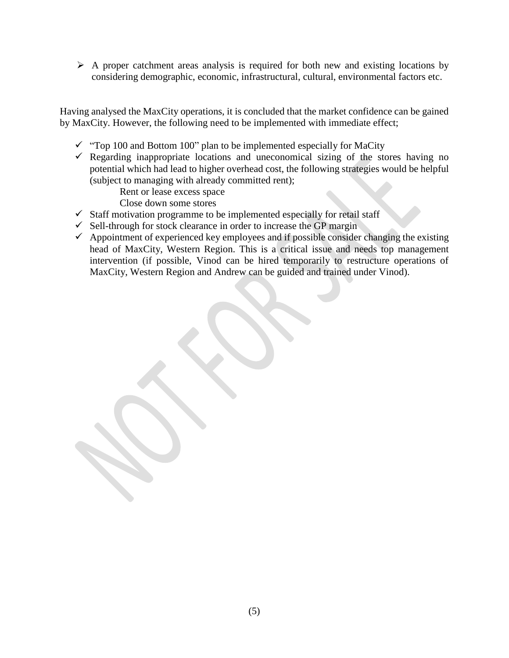$\triangleright$  A proper catchment areas analysis is required for both new and existing locations by considering demographic, economic, infrastructural, cultural, environmental factors etc.

Having analysed the MaxCity operations, it is concluded that the market confidence can be gained by MaxCity. However, the following need to be implemented with immediate effect;

- $\checkmark$  "Top 100 and Bottom 100" plan to be implemented especially for MaCity
- $\checkmark$  Regarding inappropriate locations and uneconomical sizing of the stores having no potential which had lead to higher overhead cost, the following strategies would be helpful (subject to managing with already committed rent);

Rent or lease excess space

Close down some stores

- $\checkmark$  Staff motivation programme to be implemented especially for retail staff
- $\checkmark$  Sell-through for stock clearance in order to increase the GP margin
- $\checkmark$  Appointment of experienced key employees and if possible consider changing the existing head of MaxCity, Western Region. This is a critical issue and needs top management intervention (if possible, Vinod can be hired temporarily to restructure operations of MaxCity, Western Region and Andrew can be guided and trained under Vinod).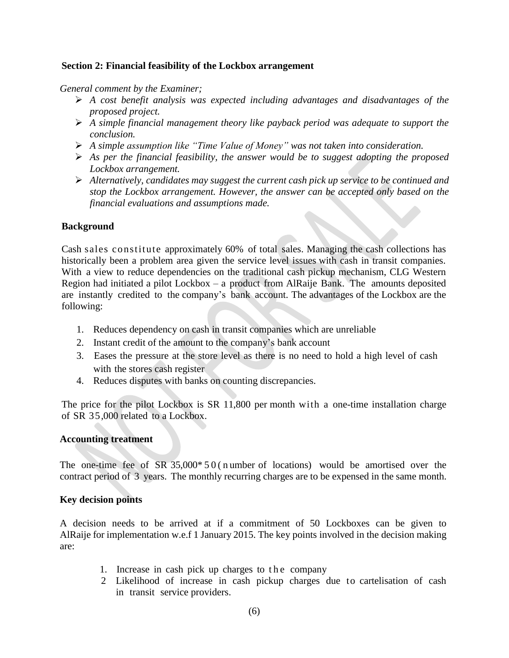#### **Section 2: Financial feasibility of the Lockbox arrangement**

#### *General comment by the Examiner;*

- *A cost benefit analysis was expected including advantages and disadvantages of the proposed project.*
- *A simple financial management theory like payback period was adequate to support the conclusion.*
- *A simple assumption like "Time Value of Money" was not taken into consideration.*
- *As per the financial feasibility, the answer would be to suggest adopting the proposed Lockbox arrangement.*
- *Alternatively, candidates may suggest the current cash pick up service to be continued and stop the Lockbox arrangement. However, the answer can be accepted only based on the financial evaluations and assumptions made.*

#### **Background**

Cash sales constitute approximately 60% of total sales. Managing the cash collections has historically been a problem area given the service level issues with cash in transit companies. With a view to reduce dependencies on the traditional cash pickup mechanism, CLG Western Region had initiated a pilot Lockbox – a product from AlRaije Bank. The amounts deposited are instantly credited to the company's bank account. The advantages of the Lockbox are the following:

- 1. Reduces dependency on cash in transit companies which are unreliable
- 2. Instant credit of the amount to the company's bank account
- 3. Eases the pressure at the store level as there is no need to hold a high level of cash with the stores cash register
- 4. Reduces disputes with banks on counting discrepancies.

The price for the pilot Lockbox is SR 11,800 per month with a one-time installation charge of SR 35,000 related to a Lockbox.

#### **Accounting treatment**

The one-time fee of  $SR 35,000*50$  (n umber of locations) would be amortised over the contract period of 3 years. The monthly recurring charges are to be expensed in the same month.

#### **Key decision points**

A decision needs to be arrived at if a commitment of 50 Lockboxes can be given to AlRaije for implementation w.e.f 1 January 2015. The key points involved in the decision making are:

- 1. Increase in cash pick up charges to the company
- 2 Likelihood of increase in cash pickup charges due to cartelisation of cash in transit service providers.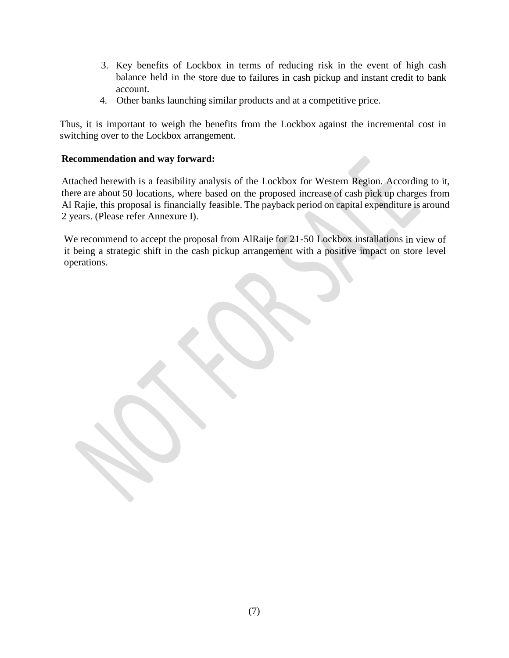- 3. Key benefits of Lockbox in terms of reducing risk in the event of high cash balance held in the store due to failures in cash pickup and instant credit to bank account.
- 4. Other banks launching similar products and at a competitive price.

Thus, it is important to weigh the benefits from the Lockbox against the incremental cost in switching over to the Lockbox arrangement.

## **Recommendation and way forward:**

Attached herewith is a feasibility analysis of the Lockbox for Western Region. According to it, there are about 50 locations, where based on the proposed increase of cash pick up charges from Al Rajie, this proposal is financially feasible. The payback period on capital expenditure is around 2 years. (Please refer Annexure I).

We recommend to accept the proposal from AlRaije for 21-50 Lockbox installations in view of it being a strategic shift in the cash pickup arrangement with a positive impact on store level operations.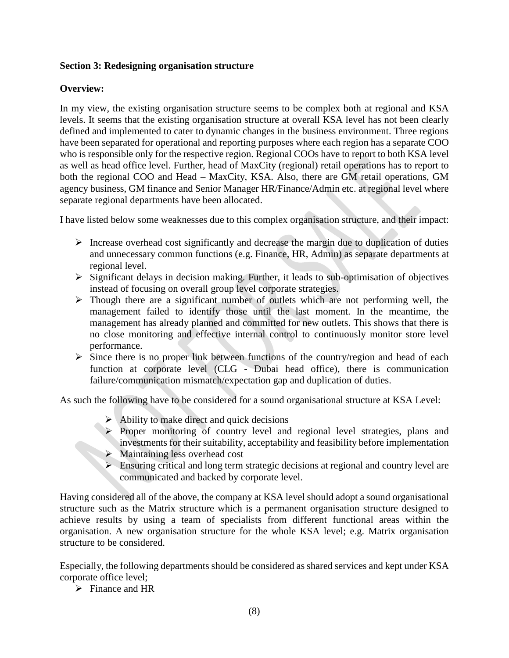#### **Section 3: Redesigning organisation structure**

#### **Overview:**

In my view, the existing organisation structure seems to be complex both at regional and KSA levels. It seems that the existing organisation structure at overall KSA level has not been clearly defined and implemented to cater to dynamic changes in the business environment. Three regions have been separated for operational and reporting purposes where each region has a separate COO who is responsible only for the respective region. Regional COOs have to report to both KSA level as well as head office level. Further, head of MaxCity (regional) retail operations has to report to both the regional COO and Head – MaxCity, KSA. Also, there are GM retail operations, GM agency business, GM finance and Senior Manager HR/Finance/Admin etc. at regional level where separate regional departments have been allocated.

I have listed below some weaknesses due to this complex organisation structure, and their impact:

- $\triangleright$  Increase overhead cost significantly and decrease the margin due to duplication of duties and unnecessary common functions (e.g. Finance, HR, Admin) as separate departments at regional level.
- $\triangleright$  Significant delays in decision making. Further, it leads to sub-optimisation of objectives instead of focusing on overall group level corporate strategies.
- $\triangleright$  Though there are a significant number of outlets which are not performing well, the management failed to identify those until the last moment. In the meantime, the management has already planned and committed for new outlets. This shows that there is no close monitoring and effective internal control to continuously monitor store level performance.
- $\triangleright$  Since there is no proper link between functions of the country/region and head of each function at corporate level (CLG - Dubai head office), there is communication failure/communication mismatch/expectation gap and duplication of duties.

As such the following have to be considered for a sound organisational structure at KSA Level:

- $\triangleright$  Ability to make direct and quick decisions
- Proper monitoring of country level and regional level strategies, plans and investments for their suitability, acceptability and feasibility before implementation
- $\triangleright$  Maintaining less overhead cost
- $\triangleright$  Ensuring critical and long term strategic decisions at regional and country level are communicated and backed by corporate level.

Having considered all of the above, the company at KSA level should adopt a sound organisational structure such as the Matrix structure which is a permanent organisation structure designed to achieve results by using a team of specialists from different functional areas within the organisation. A new organisation structure for the whole KSA level; e.g. Matrix organisation structure to be considered.

Especially, the following departments should be considered as shared services and kept under KSA corporate office level;

 $\triangleright$  Finance and HR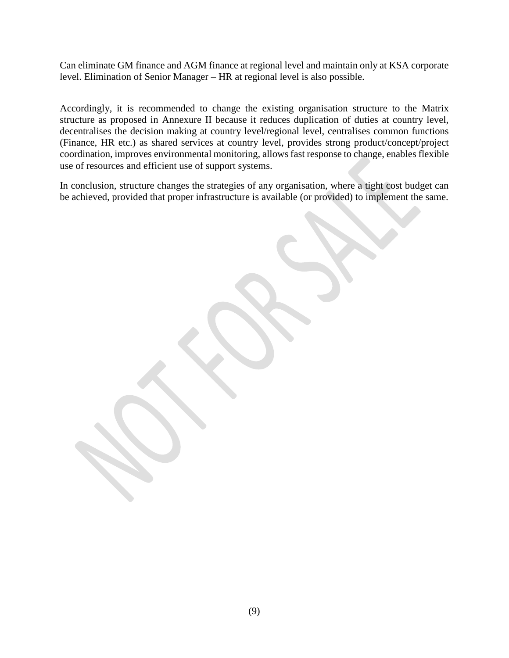Can eliminate GM finance and AGM finance at regional level and maintain only at KSA corporate level. Elimination of Senior Manager – HR at regional level is also possible.

Accordingly, it is recommended to change the existing organisation structure to the Matrix structure as proposed in Annexure II because it reduces duplication of duties at country level, decentralises the decision making at country level/regional level, centralises common functions (Finance, HR etc.) as shared services at country level, provides strong product/concept/project coordination, improves environmental monitoring, allows fast response to change, enables flexible use of resources and efficient use of support systems.

In conclusion, structure changes the strategies of any organisation, where a tight cost budget can be achieved, provided that proper infrastructure is available (or provided) to implement the same.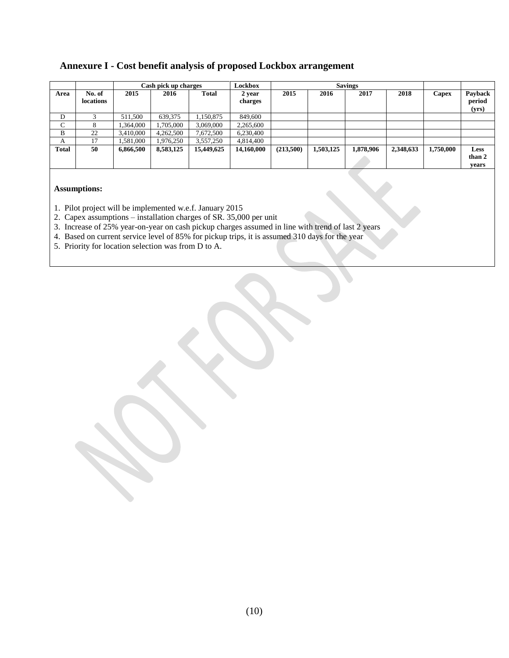## **Annexure I - Cost benefit analysis of proposed Lockbox arrangement**

|              |                            | Cash pick up charges |           |              | Lockbox           | <b>Savings</b> |           |           |           |           |                            |
|--------------|----------------------------|----------------------|-----------|--------------|-------------------|----------------|-----------|-----------|-----------|-----------|----------------------------|
| Area         | No. of<br><b>locations</b> | 2015                 | 2016      | <b>Total</b> | 2 vear<br>charges | 2015           | 2016      | 2017      | 2018      | Capex     | Payback<br>period<br>(yrs) |
| D            |                            | 511.500              | 639,375   | 1,150,875    | 849,600           |                |           |           |           |           |                            |
| С            | 8                          | 1,364,000            | 1,705,000 | 3,069,000    | 2,265,600         |                |           |           |           |           |                            |
| B            | 22                         | 3,410,000            | 4,262,500 | 7,672,500    | 6,230,400         |                |           |           |           |           |                            |
| A            | 17                         | 1,581,000            | 1,976,250 | 3,557,250    | 4,814,400         |                |           |           |           |           |                            |
| <b>Total</b> | 50                         | 6,866,500            | 8,583,125 | 15,449,625   | 14,160,000        | (213,500)      | 1,503,125 | 1,878,906 | 2,348,633 | 1,750,000 | Less<br>than 2<br>vears    |

#### **Assumptions:**

- 1. Pilot project will be implemented w.e.f. January 2015
- 2. Capex assumptions installation charges of SR. 35,000 per unit
- 3. Increase of 25% year-on-year on cash pickup charges assumed in line with trend of last 2 years
- 4. Based on current service level of 85% for pickup trips, it is assumed 310 days for the year
- 5. Priority for location selection was from D to A.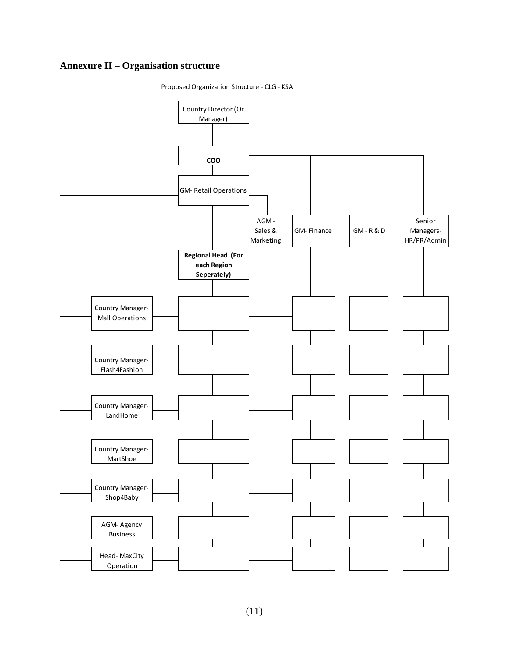## **Annexure II – Organisation structure**

Proposed Organization Structure - CLG - KSA